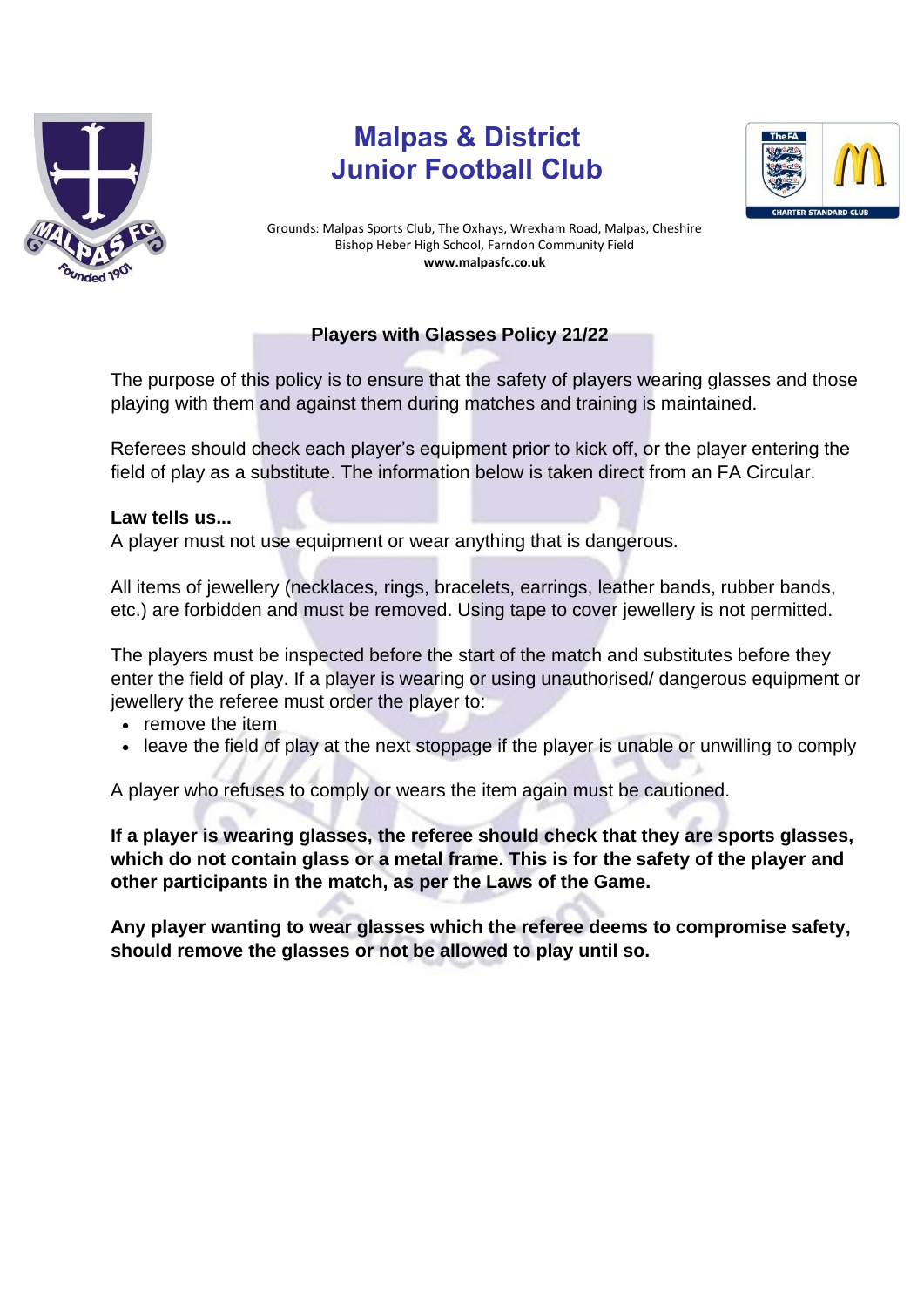

## **Malpas & District Junior Football Club**



Grounds: Malpas Sports Club, The Oxhays, Wrexham Road, Malpas, Cheshire Bishop Heber High School, Farndon Community Field **www.malpasfc.co.uk** 

## **Players with Glasses Policy 21/22**

The purpose of this policy is to ensure that the safety of players wearing glasses and those playing with them and against them during matches and training is maintained.

Referees should check each player's equipment prior to kick off, or the player entering the field of play as a substitute. The information below is taken direct from an FA Circular.

## **Law tells us...**

A player must not use equipment or wear anything that is dangerous.

All items of jewellery (necklaces, rings, bracelets, earrings, leather bands, rubber bands, etc.) are forbidden and must be removed. Using tape to cover jewellery is not permitted.

The players must be inspected before the start of the match and substitutes before they enter the field of play. If a player is wearing or using unauthorised/ dangerous equipment or jewellery the referee must order the player to:

- remove the item
- leave the field of play at the next stoppage if the player is unable or unwilling to comply

A player who refuses to comply or wears the item again must be cautioned.

**If a player is wearing glasses, the referee should check that they are sports glasses, which do not contain glass or a metal frame. This is for the safety of the player and other participants in the match, as per the Laws of the Game.** 

**Any player wanting to wear glasses which the referee deems to compromise safety, should remove the glasses or not be allowed to play until so.**